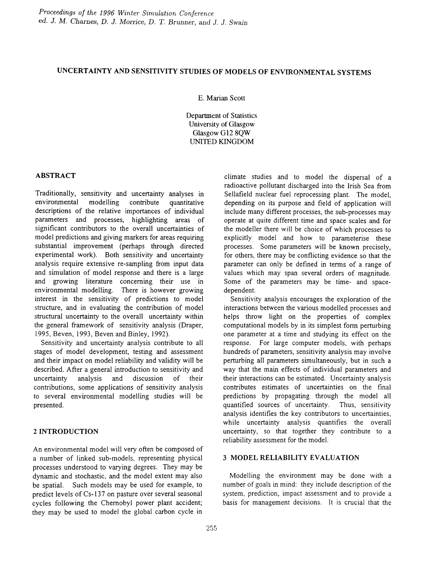# UNCERTAINTY AND SENSITIVITY STUDIES OF MODELS OF ENVIRONMENTAL SYSTEMS

E. Marian Scott

Department of Statistics University of Glasgow Glasgow GI2 8QW UNITED KINGDOM

#### ABSTRACT

Traditionally, sensitivity and uncertainty analyses in environmental modelling contribute quantitative descriptions of the relative importances of individual parameters and processes, highlighting areas of significant contributors to the overall uncertainties of model predictions and giving markers for areas requiring substantial improvement (perhaps through directed experimental work). Both sensitivity and uncertainty analysis require extensive re-sampling from input data and simulation of model response and there is a large and growing literature concerning their use in environmental modelling. There is however growing interest in the sensitivity of predictions to model structure, and in evaluating the contribution of model structural uncertainty to the overall uncertainty within the general framework of sensitivity analysis (Draper, 1995, Beven, 1993, Beven and Binley, 1992).

Sensitivity and uncertainty analysis contribute to all stages of model development, testing and assessment and their impact on model reliability and validity will be described. After a general introduction to sensitivity and uncertainty analysis and discussion of their contributions, some applications of sensitivity analysis to several environmental modelling studies will be presented.

# 2 INTRODUCTION

An environmental model will very often be composed of a number of linked sub-models, representing physical processes understood to varying degrees. They may be dynamic and stochastic, and the model extent may also be spatial. Such models may be used for example, to predict levels of Cs-137 on pasture over several seasonal cycles following the Chemobyl power plant accident; they may be used to model the global carbon cycle in

climate studies and to model the dispersal of a radioactive pollutant discharged into the Irish Sea from Sellafield nuclear fuel reprocessing plant. The model, depending on its purpose and field of application will include many different processes, the sub-processes may operate at quite different time and space scales and for the modeller there will be choice of which processes to explicitly model and how to parameterise these processes. Some parameters will be known precisely, for others, there may be conflicting evidence so that the parameter can only be defmed in terms of a range of values which may span several orders of magnitude. Some of the parameters may be time- and spacedependent.

Sensitivity analysis encourages the exploration of the interactions between the various modelled processes and helps throw light on the properties of complex computational models by in its simplest form perturbing one parameter at a time and studying its effect on the response. For large computer models, with perhaps hundreds of parameters, sensitivity analysis may involve perturbing all parameters simultaneously, but in such a way that the main effects of individual parameters and their interactions can be estimated. Uncertainty analysis contributes estimates of uncertainties on the final predictions by propagating through the model all quantified sources of uncertainty. Thus, sensitivity analysis identifies the key contributors to uncertainties, while uncertainty analysis quantifies the overall uncertainty, so that together they contribute to a reliability assessment for the model.

# 3 MODEL RELIABILITY EVALUATION

Modelling the environment may be done with a number of goals in mind: they include description of the system, prediction, impact assessment and to provide a basis for management decisions. It is crucial that the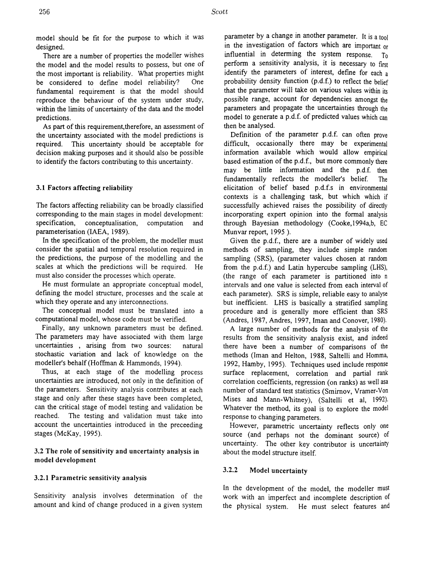model should be fit for the purpose to which it was designed.

There are a number of properties the modeller wishes the model and the model results to possess, but one of the most important is reliability. What properties might be considered to define model reliability? One fundamental requirement is that the model should reproduce the behaviour of the system under study, within the limits of uncertainty of the data and the model predictions.

As part of this requirement, therefore, an assessment of the uncertainty associated with the model predictions is required. This uncertainty should be acceptable for decision making purposes and it should also be possible to identify the factors contributing to this uncertainty.

#### 3.1 Factors affecting reliability

The factors affecting reliability can be broadly classified corresponding to the main stages in model development: specification, conceptualisation, computation and parameterisation (IAEA, 1989).

In the specification of the problem, the modeller must consider the spatial and temporal resolution required in the predictions, the purpose of the modelling and the scales at which the predictions will be required. He must also consider the processes which operate.

He must formulate an appropriate conceptual model, defming the model structure, processes and the scale at which they operate and any interconnections.

The conceptual model must be translated into a computational model, whose code must be verified.

Finally, any unknown parameters must be defined. The parameters may have associated with them large uncertainties , arising from two sources: natural stochastic variation and lack of knowledge on the modeller's behalf (Hoffman & Hammonds, 1994).

Thus, at each stage of the modelling process uncertainties are introduced, not only in the defmition of the parameters. Sensitivity analysis contributes at each stage and only after these stages have been completed, can the critical stage of model testing and validation be reached. The testing and validation must take into account the uncertainties introduced in the preceeding stages (McKay, 1995).

3.2 The role of sensitivity and uncertainty analysis in model development

#### 3.2.1 Parametric sensitivity analysis

Sensitivity analysis involves determination of the amount and kind of change produced in a given system

parameter by a change in another parameter. It is a tool in the investigation of factors which are important or influential in determing the system response.  $T_0$ perform a sensitivity analysis, it is necessary to first identify the parameters of interest, define for each a probability density function (p.d.f.) to reflect the belief that the parameter will take on various values within its possible range, account for dependencies amongst the parameters and propagate the uncertainties through the model to generate a p.d.f. of predicted values which can then be analysed.

Defmition of the parameter p.d.f. can often prove difficult, occasionally there may be experimental information available which would allow empirical based estimation of the p.d.f., but more commonly there may be little information and the p.d.f. then fundamentally reflects the modeller's belief. The elicitation of belief based p.d.f.s in environmental contexts is a challenging task, but which which if successfully achieved raises the possibility of directly incorporating expert opinion into the formal analysis through Bayesian methodology (Cooke,1994a,b, EC Munvar report, 1995 ).

Given the p.d.f., there are a number of widely used methods of sampling, they include simple random sampling (SRS), (parameter values chosen at random from the p.d.f.) and Latin hypercube sampling (LHS), (the range of each parameter is partitioned into n intervals and one value is selected from each interval of each parameter). SRS is simple, reliable easy to analyse but inefficient. LHS is basically a stratified sampling procedure and is generally more efficient than SRS (Andres, 1987, Andres, 1997, Iman and Conover, 1980).

A large number of methods for the analysis of the results from the sensitivity analysis exist, and indeed there have been a number of comparisons of the methods (Iman and Helton, 1988, Saltelli and Homma, 1992, Hamby, 1995). Techniques used include response surface replacement, correlation and partial rank correlation coefficients, regression (on ranks) as well asa number of standard test statistics (Smirnov, Vramer-Von Mises and Mann-Whitney), (Saltelli et ai, 1992). Whatever the method, its goal is to explore the model response to changing parameters.

However, parametric uncertainty reflects only one source (and perhaps not the dominant source) of uncertainty. The other key contributor is uncertainty about the model structure itself.

# 3.2.2 Model uncertainty

In the development of the model, the modeller must work with an imperfect and incomplete description of the physical system. He must select features and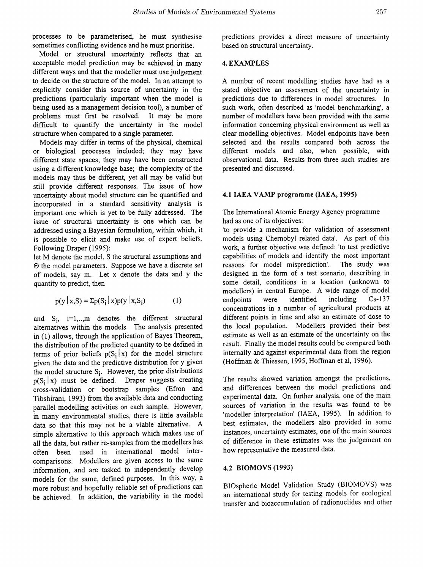processes to be parameterised, he must synthesise sometimes conflicting evidence and he must prioritise.

Model or structural uncertainty reflects that an acceptable model prediction may be achieved in many different ways and that the modeller must use judgement to decide on the structure of the model. In an attempt to explicitly consider this source of uncertainty in the predictions (particularly important when the model is being used as a management decision tool), a number of problems must first be resolved. It may be more difficult to quantify the uncertainty in the model structure when compared to a single parameter.

Models may differ in terms of the physical, chemical or biological processes included; they may have different state spaces; they may have been constructed using a different knowledge base; the complexity of the models may thus be different, yet all may be valid but still provide different responses. The issue of how uncertainty about model structure can be quantified and incorporated in a standard sensitivity analysis is important one which is yet to be fully addressed. The issue of structural uncertainty is one which can be addressed using a Bayesian formulation, within which, it is possible to elicit and make use of expert beliefs. Following Draper (1995):

let M denote the model, S the structural assumptions and  $\Theta$  the model parameters. Suppose we have a discrete set of models, say m. Let x denote the data and y the quantity to predict, then

$$
p(y | x, S) = \sum p(S_i | x) p(y | x, S_i)
$$
 (1)

and  $S_i$ , i=1,..,m denotes the different structural alternatives within the models. The analysis presented in (1) allows, through the application of Bayes Theorem, the distribution of the predicted quantity to be defmed in terms of prior beliefs  $p(S_i | x)$  for the model structure given the data and the predictive distribution for y given the model structure  $S_i$ . However, the prior distributions  $p(S_i | x)$  must be defined. Draper suggests creating cross-validation or bootstrap samples (Efron and Tibshirani, 1993) from the available data and conducting parallel modelling activities on each sample. However, in many environmental studies, there is little available data so that this may not be a viable alternative. A simple alternative to this approach which makes use of all the data, but rather re-samples from the modellers has often been used in international model intercomparisons. Modellers are given access to the same information, and are tasked to independently develop models for the same, defmed purposes. In this way, a more robust and hopefully reliable set of predictions can be achieved. In addition, the variability in the model

predictions provides a direct measure of uncertainty based on structural uncertainty.

#### 4. EXAMPLES

A number of recent modelling studies have had as a stated objective an assessment of the uncertainty in predictions due to differences in model structures. In such work, often described as 'model benchmarking', a number of modellers have been provided with the same information concerning physical environment as well as clear modelling objectives. Model endpoints have been selected and the results compared both across the different models and also, when possible, with observational data. Results from three such studies are presented and discussed.

# 4.1 IAEA VAMP programme (IAEA, 1995)

The International Atomic Energy Agency programme had as one of its objectives:

'to provide a mechanism for validation of assessment models using Chemobyl related data'. As part of this work, a further objective was defmed: 'to test predictive capabilities of models and identify the most important reasons for model misprediction'. The study was designed in the form of a test scenario, describing in some detail, conditions in a location (unknown to modellers) in central Europe. A wide range of model endpoints were identified including Cs-137 concentrations in a number of agricultural products at different points in time and also an estimate of dose to the local population. Modellers provided their best estimate as well as an estimate of the uncertainty on the result. Finally the model results could be compared both internally and against experimental data from the region (Hoffman & Thiessen, 1995, Hoffman et aI, 1996).

The results showed variation amongst the predictions, and differences between the model predictions and experimental data. On further analysis, one of the main sources of variation in the results was found to be 'modeller interpretation' (IAEA, 1995). In addition to best estimates, the modellers also provided in some instances, uncertainty estimates, one of the main sources of difference in these estimates was the judgement on how representative the measured data.

#### 4.2 BIOMOVS (1993)

BIOspheric Model Validation Study (BIOMOYS) was an international study for testing models for ecological transfer and bioaccumulation of radionuclides and other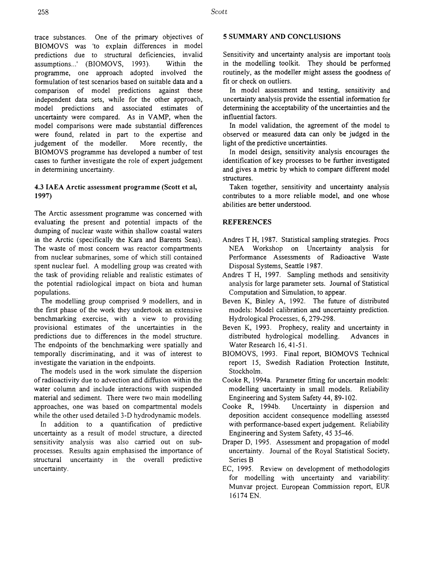trace substances. One of the primary objectives of BIOMOVS was 'to explain differences in model predictions due to structural deficiencies, invalid assumptions...' (BIOMOVS, 1993). Within the programme, one approach adopted involved the formulation of test scenarios based on suitable data and a comparison of model predictions against these independent data sets, while for the other approach, model predictions and associated estimates of uncertainty were compared. As in VAMP, when the model comparisons were made substantial differences were found, related in part to the expertise and judgement of the modeller. More recently, the BIOMOVS programme has developed a number of test cases to further investigate the role of expert judgement in determining uncertainty.

# 4.3 IAEA Arctic assessment programme (Scott et ai, 1997)

The Arctic assessment programme was concerned with evaluating the present and potential impacts of the dumping of nuclear waste within shallow coastal waters in the Arctic (specifically the Kara and Barents Seas). The waste of most concern was reactor compartments from nuclear submarines, some of which still contained spent nuclear fuel. A modelling group was created with the task of providing reliable and realistic estimates of the potential radiological impact on biota and human populations.

The modelling group comprised 9 modellers, and in the frrst phase of the work they undertook an extensive benchmarking exercise, with a view to providing provisional estimates of the uncertainties in the predictions due to differences in the model structure. The endpoints of the benchmarking were spatially and temporally discriminating, and it was of interest to investigate the variation in the endpoints.

The models used in the work simulate the dispersion ofradioactivity due to advection and diffusion within the water column and include interactions with suspended material and sediment. There were two main modelling approaches, one was based on compartmental models while the other used detailed 3-D hydrodynamic models.

In addition to a quantification of predictive uncertainty as a result of model structure, a directed sensitivity analysis was also carried out on subprocesses. Results again emphasised the importance of structural uncertainty in the overall predictive uncertainty.

# 5 SUMMARY AND CONCLUSIONS

Sensitivity and uncertainty analysis are important tools in the modelling toolkit. They should be performed routinely, as the modeller might assess the goodness of fit or check on outliers.

In model assessment and testing, sensitivity and uncertainty analysis provide the essential information for determining the acceptability of the uncertainties and the influential factors.

In model validation, the agreement of the model to observed or measured data can only be judged in the light of the predictive uncertainties.

In model design, sensitivity analysis encourages the identification of key processes to be further investigated and gives a metric by which to compare different model structures.

Taken together, sensitivity and uncertainty analysis contributes to a more reliable model, and one whose abilities are better understood.

# **REFERENCES**

- Andres T H, 1987. Statistical sampling strategies. Procs NEA Workshop on Uncertainty analysis for Perfonnance Assessments of Radioactive Waste Disposal Systems, Seattle 1987.
- Andres T H, 1997. Sampling methods and sensitivity analysis for large parameter sets. Journal of Statistical Computation and Simulation, to appear.
- Beven K, Binley A, 1992. The future of distributed models: Model calibration and uncertainty prediction. Hydrological Processes, 6, 279-298.
- Beven K, 1993. Prophecy, reality and uncertainty in distributed hydrological modelling. Advances in Water Research 16, 41-51.
- BIOMOVS, 1993. Final report, BIOMOVS Technical report 15, Swedish Radiation Protection Institute, Stockholm.
- Cooke R, 1994a. Parameter fitting for uncertain models: modelling uncertainty in small models. Reliability Engineering and System Safety 44, 89-102.
- Cooke R, 1994b. Uncertainty in dispersion and deposition accident consequence modelling assessed with performance-based expert judgement. Reliability Engineering and System Safety, 45 35-46.
- Draper 0, 1995. Assessment and propagation of model uncertainty. Journal of the Royal Statistical Society, Series B
- EC, 1995. Review on development of methodologies for modelling with uncertainty and variability: Munvar project. European Commission report, EUR 16174 EN.